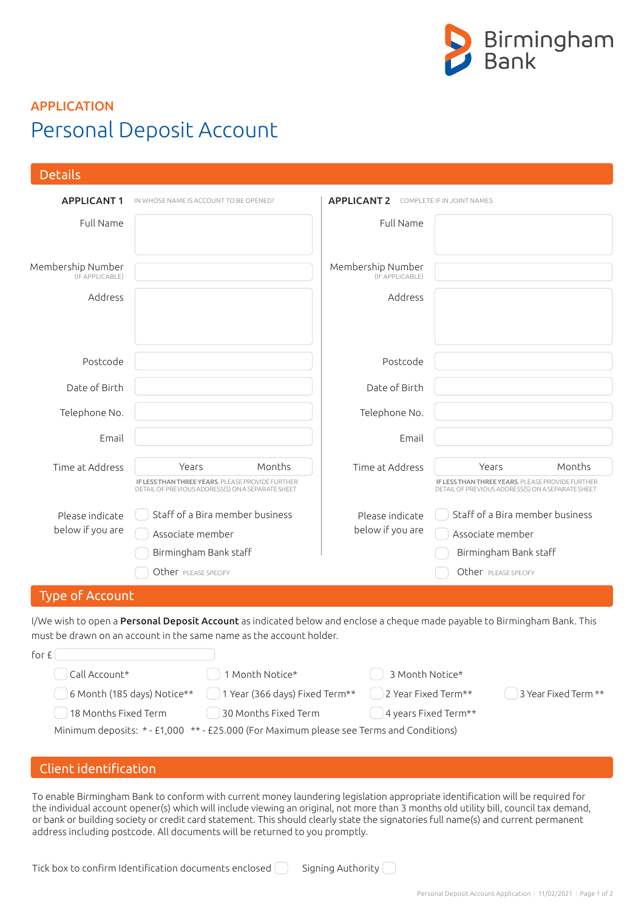

# Personal Deposit Account APPLICATION

| <b>Details</b>                                                                                                                                                                                    |                                                                                                       |                                      |                                                                                                       |  |  |
|---------------------------------------------------------------------------------------------------------------------------------------------------------------------------------------------------|-------------------------------------------------------------------------------------------------------|--------------------------------------|-------------------------------------------------------------------------------------------------------|--|--|
| <b>APPLICANT1</b>                                                                                                                                                                                 | IN WHOSE NAME IS ACCOUNT TO BE OPENED?                                                                | <b>APPLICANT 2</b>                   | COMPLETE IF IN JOINT NAMES                                                                            |  |  |
| Full Name                                                                                                                                                                                         |                                                                                                       | Full Name                            |                                                                                                       |  |  |
| Membership Number<br>(IF APPLICABLE)                                                                                                                                                              |                                                                                                       | Membership Number<br>(IF APPLICABLE) |                                                                                                       |  |  |
| Address                                                                                                                                                                                           |                                                                                                       | Address                              |                                                                                                       |  |  |
| Postcode                                                                                                                                                                                          |                                                                                                       | Postcode                             |                                                                                                       |  |  |
| Date of Birth                                                                                                                                                                                     |                                                                                                       | Date of Birth                        |                                                                                                       |  |  |
| Telephone No.                                                                                                                                                                                     |                                                                                                       | Telephone No.                        |                                                                                                       |  |  |
| Email                                                                                                                                                                                             |                                                                                                       | Email                                |                                                                                                       |  |  |
| Time at Address                                                                                                                                                                                   | Months<br>Years                                                                                       | Time at Address                      | Years<br>Months                                                                                       |  |  |
|                                                                                                                                                                                                   | IF LESS THAN THREE YEARS, PLEASE PROVIDE FURTHER<br>DETAIL OF PREVIOUS ADDRESS(S) ON A SEPARATE SHEET |                                      | IF LESS THAN THREE YEARS, PLEASE PROVIDE FURTHER<br>DETAIL OF PREVIOUS ADDRESS(S) ON A SEPARATE SHEET |  |  |
| Please indicate                                                                                                                                                                                   | Staff of a Bira member business                                                                       | Please indicate                      | Staff of a Bira member business                                                                       |  |  |
| below if you are                                                                                                                                                                                  | Associate member                                                                                      | below if you are                     | Associate member                                                                                      |  |  |
|                                                                                                                                                                                                   | Birmingham Bank staff                                                                                 |                                      | Birmingham Bank staff                                                                                 |  |  |
|                                                                                                                                                                                                   | Other PLEASE SPECIFY                                                                                  |                                      | Other PLEASE SPECIFY                                                                                  |  |  |
| <b>Type of Account</b>                                                                                                                                                                            |                                                                                                       |                                      |                                                                                                       |  |  |
| I/We wish to open a Personal Deposit Account as indicated below and enclose a cheque made payable to Birmingham Bank. This<br>must be drawn on an account in the same name as the account holder. |                                                                                                       |                                      |                                                                                                       |  |  |
| for $f(x)$                                                                                                                                                                                        |                                                                                                       |                                      |                                                                                                       |  |  |
| Call Account*<br>3 Month Notice*<br>1 Month Notice*                                                                                                                                               |                                                                                                       |                                      |                                                                                                       |  |  |
| 6 Month (185 days) Notice**<br>1 Year (366 days) Fixed Term**<br>2 Year Fixed Term**<br>3 Year Fixed Term **                                                                                      |                                                                                                       |                                      |                                                                                                       |  |  |
| 18 Months Fixed Term<br>30 Months Fixed Term<br>4 years Fixed Term**                                                                                                                              |                                                                                                       |                                      |                                                                                                       |  |  |
| Minimum deposits: * - £1,000 ** - £25.000 (For Maximum please see Terms and Conditions)                                                                                                           |                                                                                                       |                                      |                                                                                                       |  |  |
|                                                                                                                                                                                                   |                                                                                                       |                                      |                                                                                                       |  |  |
| Client identification                                                                                                                                                                             |                                                                                                       |                                      |                                                                                                       |  |  |

To enable Birmingham Bank to conform with current money laundering legislation appropriate identification will be required for the individual account opener(s) which will include viewing an original, not more than 3 months old utility bill, council tax demand, or bank or building society or credit card statement. This should clearly state the signatories full name(s) and current permanent address including postcode. All documents will be returned to you promptly.

Tick box to confirm Identification documents enclosed  $\bigcap$  Signing Authority  $\bigcap$